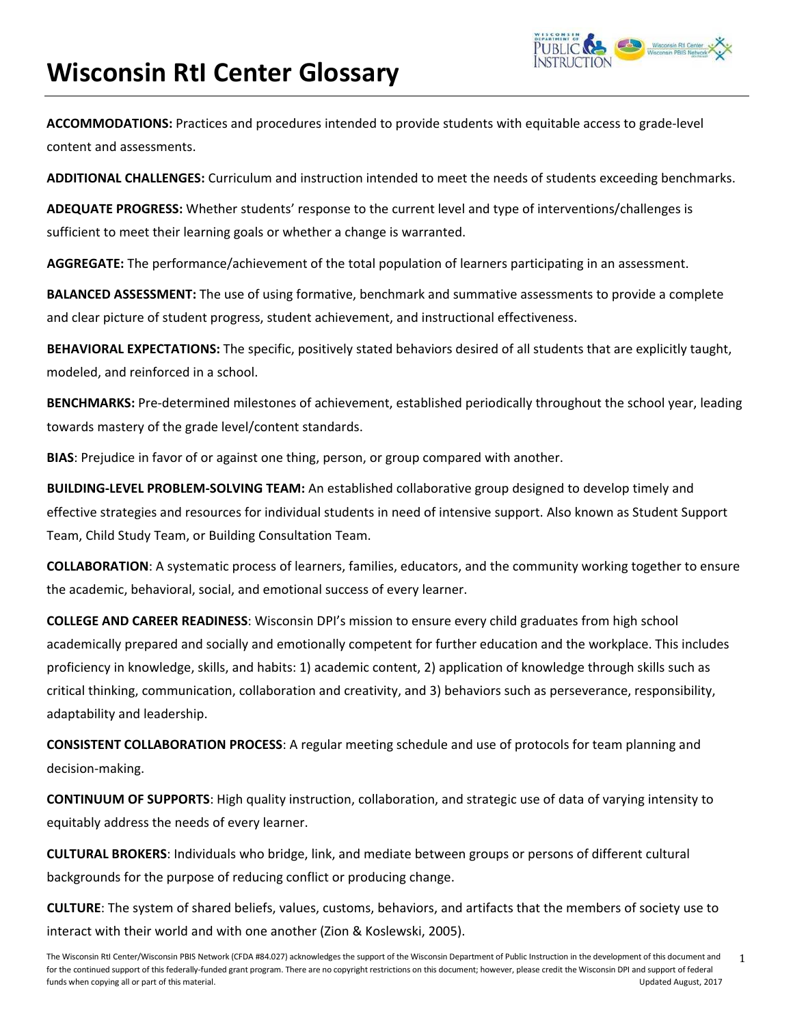

**ACCOMMODATIONS:** Practices and procedures intended to provide students with equitable access to grade‐level content and assessments.

**ADDITIONAL CHALLENGES:** Curriculum and instruction intended to meet the needs of students exceeding benchmarks.

**ADEQUATE PROGRESS:** Whether students' response to the current level and type of interventions/challenges is sufficient to meet their learning goals or whether a change is warranted.

**AGGREGATE:** The performance/achievement of the total population of learners participating in an assessment.

**BALANCED ASSESSMENT:** The use of using formative, benchmark and summative assessments to provide a complete and clear picture of student progress, student achievement, and instructional effectiveness.

**BEHAVIORAL EXPECTATIONS:** The specific, positively stated behaviors desired of all students that are explicitly taught, modeled, and reinforced in a school.

**BENCHMARKS:** Pre‐determined milestones of achievement, established periodically throughout the school year, leading towards mastery of the grade level/content standards.

**BIAS**: Prejudice in favor of or against one thing, person, or group compared with another.

**BUILDING‐LEVEL PROBLEM‐SOLVING TEAM:** An established collaborative group designed to develop timely and effective strategies and resources for individual students in need of intensive support. Also known as Student Support Team, Child Study Team, or Building Consultation Team.

**COLLABORATION**: A systematic process of learners, families, educators, and the community working together to ensure the academic, behavioral, social, and emotional success of every learner.

**COLLEGE AND CAREER READINESS**: Wisconsin DPI's mission to ensure every child graduates from high school academically prepared and socially and emotionally competent for further education and the workplace. This includes proficiency in knowledge, skills, and habits: 1) academic content, 2) application of knowledge through skills such as critical thinking, communication, collaboration and creativity, and 3) behaviors such as perseverance, responsibility, adaptability and leadership.

**CONSISTENT COLLABORATION PROCESS**: A regular meeting schedule and use of protocols for team planning and decision‐making.

**CONTINUUM OF SUPPORTS**: High quality instruction, collaboration, and strategic use of data of varying intensity to equitably address the needs of every learner.

**CULTURAL BROKERS**: Individuals who bridge, link, and mediate between groups or persons of different cultural backgrounds for the purpose of reducing conflict or producing change.

**CULTURE**: The system of shared beliefs, values, customs, behaviors, and artifacts that the members of society use to interact with their world and with one another (Zion & Koslewski, 2005).

The Wisconsin RtI Center/Wisconsin PBIS Network (CFDA #84.027) acknowledges the support of the Wisconsin Department of Public Instruction in the development of this document and for the continued support of this federally-funded grant program. There are no copyright restrictions on this document; however, please credit the Wisconsin DPI and support of federal funds when copying all or part of this material. Updated August, 2017 1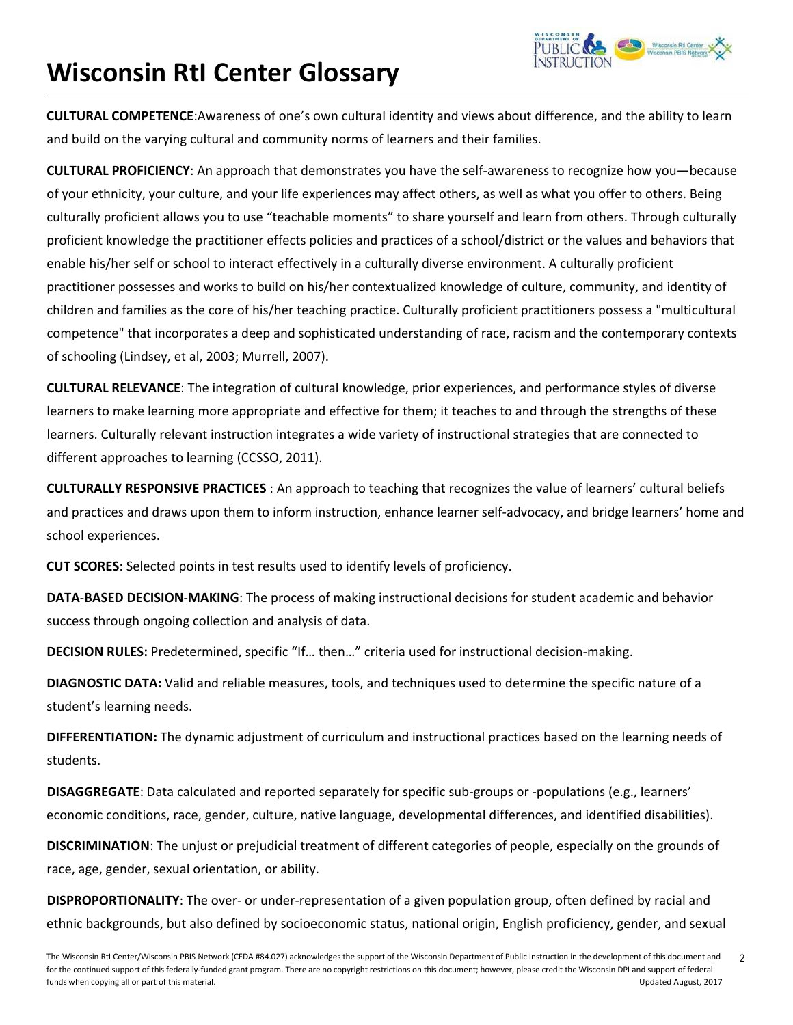**CULTURAL COMPETENCE**:Awareness of one's own cultural identity and views about difference, and the ability to learn and build on the varying cultural and community norms of learners and their families.

**CULTURAL PROFICIENCY**: An approach that demonstrates you have the self‐awareness to recognize how you—because of your ethnicity, your culture, and your life experiences may affect others, as well as what you offer to others. Being culturally proficient allows you to use "teachable moments" to share yourself and learn from others. Through culturally proficient knowledge the practitioner effects policies and practices of a school/district or the values and behaviors that enable his/her self or school to interact effectively in a culturally diverse environment. A culturally proficient practitioner possesses and works to build on his/her contextualized knowledge of culture, community, and identity of children and families as the core of his/her teaching practice. Culturally proficient practitioners possess a "multicultural competence" that incorporates a deep and sophisticated understanding of race, racism and the contemporary contexts of schooling (Lindsey, et al, 2003; Murrell, 2007).

**CULTURAL RELEVANCE**: The integration of cultural knowledge, prior experiences, and performance styles of diverse learners to make learning more appropriate and effective for them; it teaches to and through the strengths of these learners. Culturally relevant instruction integrates a wide variety of instructional strategies that are connected to different approaches to learning (CCSSO, 2011).

**CULTURALLY RESPONSIVE PRACTICES** : An approach to teaching that recognizes the value of learners' cultural beliefs and practices and draws upon them to inform instruction, enhance learner self-advocacy, and bridge learners' home and school experiences.

**CUT SCORES**: Selected points in test results used to identify levels of proficiency.

**DATA**‐**BASED DECISION**‐**MAKING**: The process of making instructional decisions for student academic and behavior success through ongoing collection and analysis of data.

**DECISION RULES:** Predetermined, specific "If… then…" criteria used for instructional decision‐making.

**DIAGNOSTIC DATA:** Valid and reliable measures, tools, and techniques used to determine the specific nature of a student's learning needs.

**DIFFERENTIATION:** The dynamic adjustment of curriculum and instructional practices based on the learning needs of students.

**DISAGGREGATE**: Data calculated and reported separately for specific sub‐groups or ‐populations (e.g., learners' economic conditions, race, gender, culture, native language, developmental differences, and identified disabilities).

**DISCRIMINATION**: The unjust or prejudicial treatment of different categories of people, especially on the grounds of race, age, gender, sexual orientation, or ability.

**DISPROPORTIONALITY**: The over‐ or under‐representation of a given population group, often defined by racial and ethnic backgrounds, but also defined by socioeconomic status, national origin, English proficiency, gender, and sexual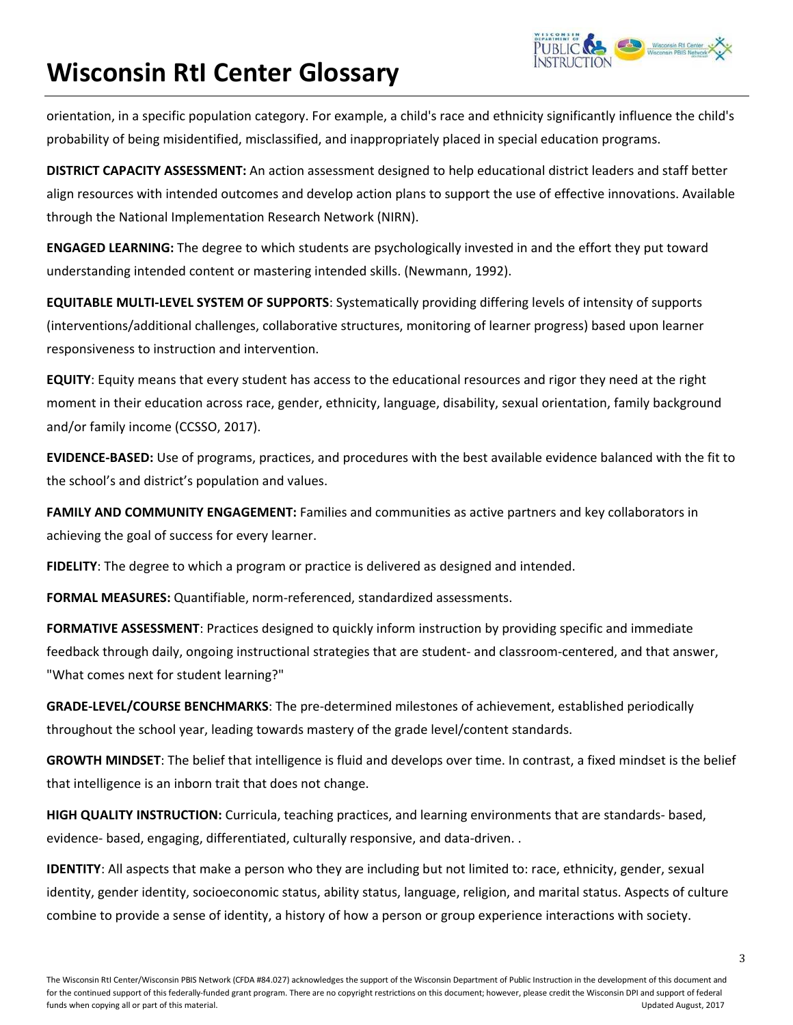orientation, in a specific population category. For example, a child's race and ethnicity significantly influence the child's probability of being misidentified, misclassified, and inappropriately placed in special education programs.

**DISTRICT CAPACITY ASSESSMENT:** An action assessment designed to help educational district leaders and staff better align resources with intended outcomes and develop action plans to support the use of effective innovations. Available through the National Implementation Research Network (NIRN).

**ENGAGED LEARNING:** The degree to which students are psychologically invested in and the effort they put toward understanding intended content or mastering intended skills. (Newmann, 1992).

**EQUITABLE MULTI‐LEVEL SYSTEM OF SUPPORTS**: Systematically providing differing levels of intensity of supports (interventions/additional challenges, collaborative structures, monitoring of learner progress) based upon learner responsiveness to instruction and intervention.

**EQUITY**: Equity means that every student has access to the educational resources and rigor they need at the right moment in their education across race, gender, ethnicity, language, disability, sexual orientation, family background and/or family income (CCSSO, 2017).

**EVIDENCE‐BASED:** Use of programs, practices, and procedures with the best available evidence balanced with the fit to the school's and district's population and values.

**FAMILY AND COMMUNITY ENGAGEMENT:** Families and communities as active partners and key collaborators in achieving the goal of success for every learner.

**FIDELITY**: The degree to which a program or practice is delivered as designed and intended.

**FORMAL MEASURES:** Quantifiable, norm‐referenced, standardized assessments.

**FORMATIVE ASSESSMENT**: Practices designed to quickly inform instruction by providing specific and immediate feedback through daily, ongoing instructional strategies that are student- and classroom-centered, and that answer, "What comes next for student learning?"

**GRADE‐LEVEL/COURSE BENCHMARKS**: The pre‐determined milestones of achievement, established periodically throughout the school year, leading towards mastery of the grade level/content standards.

**GROWTH MINDSET**: The belief that intelligence is fluid and develops over time. In contrast, a fixed mindset is the belief that intelligence is an inborn trait that does not change.

**HIGH QUALITY INSTRUCTION:** Curricula, teaching practices, and learning environments that are standards‐ based, evidence- based, engaging, differentiated, culturally responsive, and data-driven. .

**IDENTITY**: All aspects that make a person who they are including but not limited to: race, ethnicity, gender, sexual identity, gender identity, socioeconomic status, ability status, language, religion, and marital status. Aspects of culture combine to provide a sense of identity, a history of how a person or group experience interactions with society.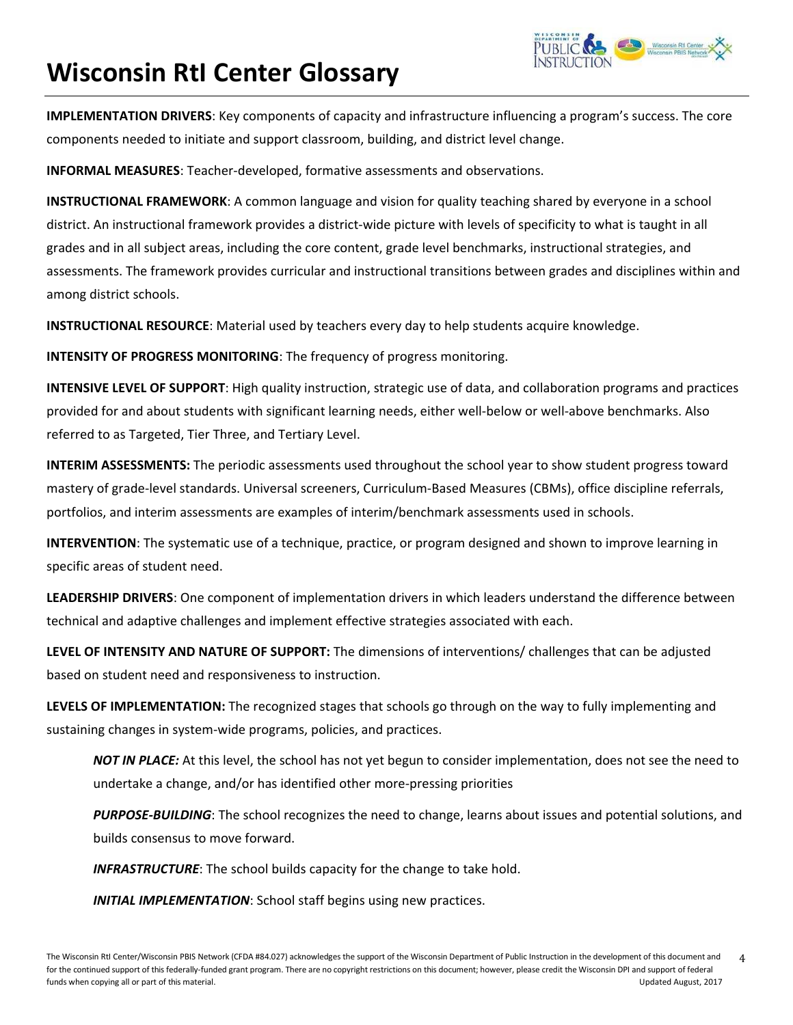

**IMPLEMENTATION DRIVERS**: Key components of capacity and infrastructure influencing a program's success. The core components needed to initiate and support classroom, building, and district level change.

**INFORMAL MEASURES**: Teacher‐developed, formative assessments and observations.

**INSTRUCTIONAL FRAMEWORK**: A common language and vision for quality teaching shared by everyone in a school district. An instructional framework provides a district-wide picture with levels of specificity to what is taught in all grades and in all subject areas, including the core content, grade level benchmarks, instructional strategies, and assessments. The framework provides curricular and instructional transitions between grades and disciplines within and among district schools.

**INSTRUCTIONAL RESOURCE**: Material used by teachers every day to help students acquire knowledge.

**INTENSITY OF PROGRESS MONITORING**: The frequency of progress monitoring.

**INTENSIVE LEVEL OF SUPPORT**: High quality instruction, strategic use of data, and collaboration programs and practices provided for and about students with significant learning needs, either well‐below or well‐above benchmarks. Also referred to as Targeted, Tier Three, and Tertiary Level.

**INTERIM ASSESSMENTS:** The periodic assessments used throughout the school year to show student progress toward mastery of grade‐level standards. Universal screeners, Curriculum‐Based Measures (CBMs), office discipline referrals, portfolios, and interim assessments are examples of interim/benchmark assessments used in schools.

**INTERVENTION**: The systematic use of a technique, practice, or program designed and shown to improve learning in specific areas of student need.

**LEADERSHIP DRIVERS**: One component of implementation drivers in which leaders understand the difference between technical and adaptive challenges and implement effective strategies associated with each.

**LEVEL OF INTENSITY AND NATURE OF SUPPORT:** The dimensions of interventions/ challenges that can be adjusted based on student need and responsiveness to instruction.

**LEVELS OF IMPLEMENTATION:** The recognized stages that schools go through on the way to fully implementing and sustaining changes in system‐wide programs, policies, and practices.

*NOT IN PLACE:* At this level, the school has not yet begun to consider implementation, does not see the need to undertake a change, and/or has identified other more‐pressing priorities

*PURPOSE‐BUILDING*: The school recognizes the need to change, learns about issues and potential solutions, and builds consensus to move forward.

*INFRASTRUCTURE*: The school builds capacity for the change to take hold.

*INITIAL IMPLEMENTATION*: School staff begins using new practices.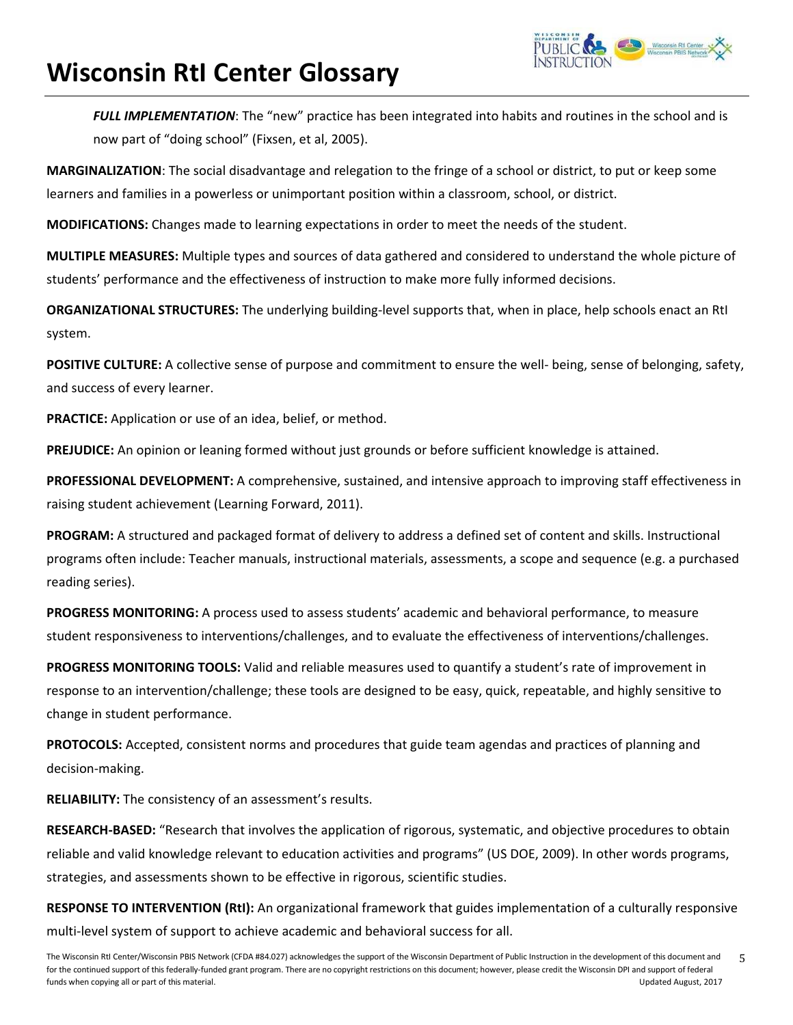

*FULL IMPLEMENTATION*: The "new" practice has been integrated into habits and routines in the school and is now part of "doing school" (Fixsen, et al, 2005).

**MARGINALIZATION**: The social disadvantage and relegation to the fringe of a school or district, to put or keep some learners and families in a powerless or unimportant position within a classroom, school, or district.

**MODIFICATIONS:** Changes made to learning expectations in order to meet the needs of the student.

**MULTIPLE MEASURES:** Multiple types and sources of data gathered and considered to understand the whole picture of students' performance and the effectiveness of instruction to make more fully informed decisions.

**ORGANIZATIONAL STRUCTURES:** The underlying building‐level supports that, when in place, help schools enact an RtI system.

**POSITIVE CULTURE:** A collective sense of purpose and commitment to ensure the well‐ being, sense of belonging, safety, and success of every learner.

**PRACTICE:** Application or use of an idea, belief, or method.

**PREJUDICE:** An opinion or leaning formed without just grounds or before sufficient knowledge is attained.

**PROFESSIONAL DEVELOPMENT:** A comprehensive, sustained, and intensive approach to improving staff effectiveness in raising student achievement (Learning Forward, 2011).

**PROGRAM:** A structured and packaged format of delivery to address a defined set of content and skills. Instructional programs often include: Teacher manuals, instructional materials, assessments, a scope and sequence (e.g. a purchased reading series).

**PROGRESS MONITORING:** A process used to assess students' academic and behavioral performance, to measure student responsiveness to interventions/challenges, and to evaluate the effectiveness of interventions/challenges.

**PROGRESS MONITORING TOOLS:** Valid and reliable measures used to quantify a student's rate of improvement in response to an intervention/challenge; these tools are designed to be easy, quick, repeatable, and highly sensitive to change in student performance.

**PROTOCOLS:** Accepted, consistent norms and procedures that guide team agendas and practices of planning and decision‐making.

**RELIABILITY:** The consistency of an assessment's results.

**RESEARCH‐BASED:** "Research that involves the application of rigorous, systematic, and objective procedures to obtain reliable and valid knowledge relevant to education activities and programs" (US DOE, 2009). In other words programs, strategies, and assessments shown to be effective in rigorous, scientific studies.

**RESPONSE TO INTERVENTION (RtI):** An organizational framework that guides implementation of a culturally responsive multi-level system of support to achieve academic and behavioral success for all.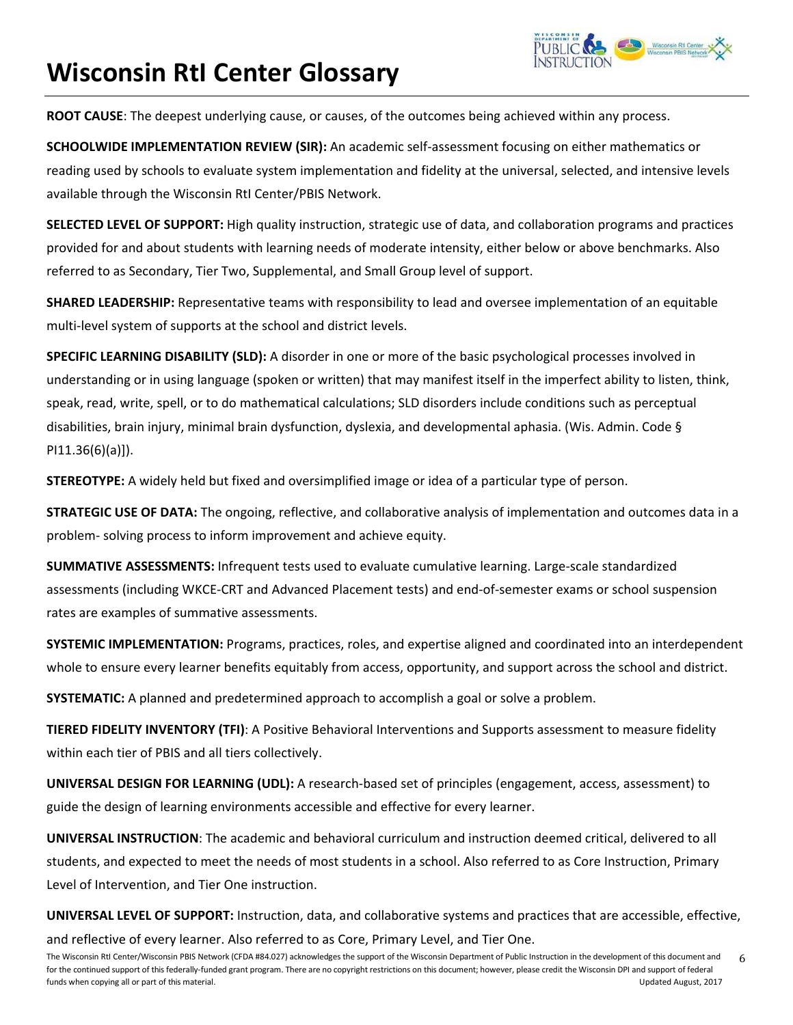**ROOT CAUSE**: The deepest underlying cause, or causes, of the outcomes being achieved within any process.

**SCHOOLWIDE IMPLEMENTATION REVIEW (SIR):** An academic self‐assessment focusing on either mathematics or reading used by schools to evaluate system implementation and fidelity at the universal, selected, and intensive levels available through the Wisconsin RtI Center/PBIS Network.

**SELECTED LEVEL OF SUPPORT:** High quality instruction, strategic use of data, and collaboration programs and practices provided for and about students with learning needs of moderate intensity, either below or above benchmarks. Also referred to as Secondary, Tier Two, Supplemental, and Small Group level of support.

**SHARED LEADERSHIP:** Representative teams with responsibility to lead and oversee implementation of an equitable multi-level system of supports at the school and district levels.

**SPECIFIC LEARNING DISABILITY (SLD):** A disorder in one or more of the basic psychological processes involved in understanding or in using language (spoken or written) that may manifest itself in the imperfect ability to listen, think, speak, read, write, spell, or to do mathematical calculations; SLD disorders include conditions such as perceptual disabilities, brain injury, minimal brain dysfunction, dyslexia, and developmental aphasia. (Wis. Admin. Code § PI11.36(6)(a)]).

**STEREOTYPE:** A widely held but fixed and oversimplified image or idea of a particular type of person.

**STRATEGIC USE OF DATA:** The ongoing, reflective, and collaborative analysis of implementation and outcomes data in a problem‐ solving process to inform improvement and achieve equity.

**SUMMATIVE ASSESSMENTS:** Infrequent tests used to evaluate cumulative learning. Large‐scale standardized assessments (including WKCE‐CRT and Advanced Placement tests) and end‐of‐semester exams or school suspension rates are examples of summative assessments.

**SYSTEMIC IMPLEMENTATION:** Programs, practices, roles, and expertise aligned and coordinated into an interdependent whole to ensure every learner benefits equitably from access, opportunity, and support across the school and district.

**SYSTEMATIC:** A planned and predetermined approach to accomplish a goal or solve a problem.

**TIERED FIDELITY INVENTORY (TFI)**: A Positive Behavioral Interventions and Supports assessment to measure fidelity within each tier of PBIS and all tiers collectively.

**UNIVERSAL DESIGN FOR LEARNING (UDL):** A research‐based set of principles (engagement, access, assessment) to guide the design of learning environments accessible and effective for every learner.

**UNIVERSAL INSTRUCTION**: The academic and behavioral curriculum and instruction deemed critical, delivered to all students, and expected to meet the needs of most students in a school. Also referred to as Core Instruction, Primary Level of Intervention, and Tier One instruction.

**UNIVERSAL LEVEL OF SUPPORT:** Instruction, data, and collaborative systems and practices that are accessible, effective, and reflective of every learner. Also referred to as Core, Primary Level, and Tier One.

The Wisconsin RtI Center/Wisconsin PBIS Network (CFDA #84.027) acknowledges the support of the Wisconsin Department of Public Instruction in the development of this document and for the continued support of this federally-funded grant program. There are no copyright restrictions on this document; however, please credit the Wisconsin DPI and support of federal funds when copying all or part of this material. Updated August, 2017 6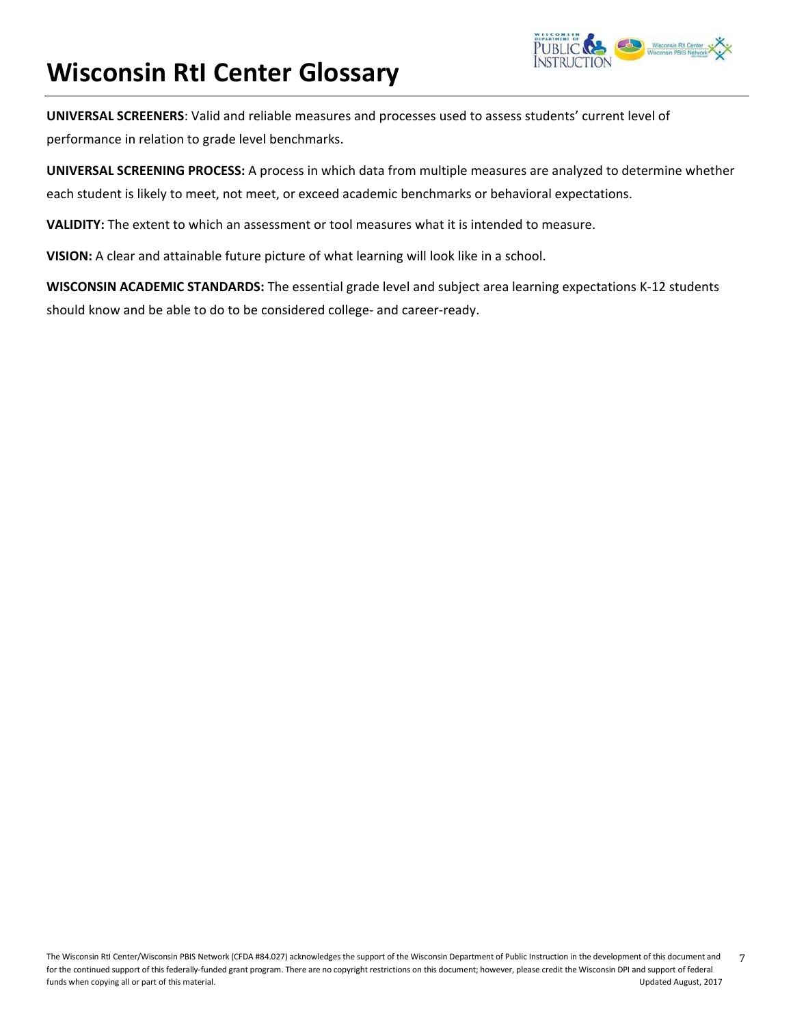

**UNIVERSAL SCREENERS**: Valid and reliable measures and processes used to assess students' current level of performance in relation to grade level benchmarks.

**UNIVERSAL SCREENING PROCESS:** A process in which data from multiple measures are analyzed to determine whether each student is likely to meet, not meet, or exceed academic benchmarks or behavioral expectations.

**VALIDITY:** The extent to which an assessment or tool measures what it is intended to measure.

**VISION:** A clear and attainable future picture of what learning will look like in a school.

**WISCONSIN ACADEMIC STANDARDS:** The essential grade level and subject area learning expectations K‐12 students should know and be able to do to be considered college‐ and career‐ready.